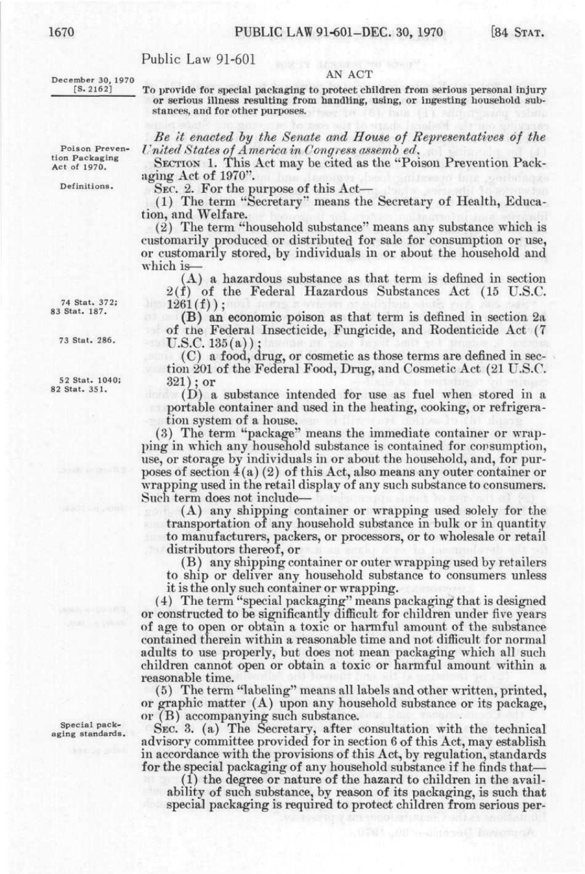### Public Law 91-601

**December 30, 1970 [S.2162]** 

To provide for special packaging to protect children from serious personal injury or serious illness resulting from handling, using, or ingesting household substances, and for other purposes.

AN ACT

*Be it enacted hy the Senate and House of Representatives of the Ignited States of America in Congress assemh ed.* 

SECTION 1. This Act may be cited as the "Poison Prevention Packaging Act of 1970".

SEC. 2. For the purpose of this Act-

(1) The term "Secretary" means the Secretary of Health, Education, and Welfare.

(2) The term "household substance" means any substance which is customarily produced or distributed for sale for consumption or use, or customarily stored, by individuals in or about the household and which is—

(A) a hazardous substance as that term is defined in section 2(f) of the Federal Hazardous Substances Act (15 U.S.C.  $1261(f)$ ;

(B) an economic poison as that term is defined in section 2a of the Federal Insecticide, Fungicide, and Rodenticide Act (7  $U.S.C. 135(a)$ ;

(C) a food, drug, or cosmetic as those terms are defined in section 201 of the Federal Food, Drug, and Cosmetic Act (21 U.S.C. 321); or

(D) a substance intended for use as fuel when stored in a portable container and used in the heating, cooking, or refrigeration system of a house.

(3) The term "package" means the immediate container or wrapping in which any household substance is contained for consumption, use, or storage by individuals in or about the household, and, for purposes of section  $4(a)(2)$  of this Act, also means any outer container or wrapping used in the retail display of any such substance to consumers. Such term does not include—

(A) any shipping container or wrapping used solely for the transportation of any household substance in bulk or in quantity to manufacturers, packers, or processors, or to wholesale or retail distributors thereof, or

(B) any shipping container or outer wrapping used by retailers to ship or deliver any household substance to consumers unless it is the only such container or wrapping.

(4) The term "special packaging" means packaging that is designed or constructed to be significantly difficult for children under five years of age to open or obtain a toxic or harmful amount of the substance contained therein within a reasonable time and not difficult for normal adults to use properly, but does not mean packaging which all such children cannot open or obtain a toxic or harmful amount within a reasonable time.

(6) The term "labeling" means all labels and other written, printed, or graphic matter (A) upon any household substance or its package, or (B) accompanying such substance.

SEC. 3. (a) The Secretary, after consultation with the technical advisory committee provided for in section 6 of this Act, may establish in accordance with the provisions of this Act, by regulation, standards for the special packaging of any household substance if he finds that—

(1) the degree or nature of the hazard to children in the availability of such substance, by reason of its packaging, is such that special packaging is required to protect children from serious per-

**Poison Prevention Packaging Act of 1970.** 

**Definitions.** 

**73 Stat. 286.** 

**74 Stat. 372; 83 Stat. 187.** 

**52 Stat. 1040; 82 Stat. 351.** 

**Special packaging standards.**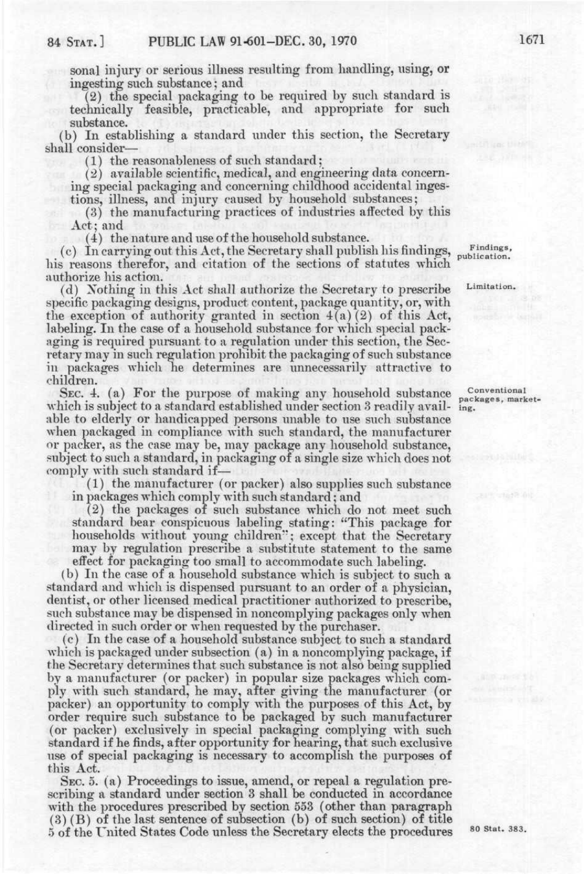sonal injury or serious illness resulting from handling, using, or ingesting such substance; and

(2) the special packaging to be required by such standard is technically feasible, practicable, and appropriate for such substance.

(b) In establishing a standard under this section, the Secretary shall consider—

(1) the reasonableness of such standard;

(2) available scientific, medical, and engineering data concerning special packaging and concerning childhood accidental ingestions, illness, and injury caused by household substances;

(3) the manufacturing practices of industries affected by this Act; and

(4) the nature and use of the household substance.

(c) In carrying out this Act, the Secretary shall publish his findings, his reasons therefor, and citation of the sections of statutes which authorize his action.

(d) Nothing in this  $\det$  shall authorize the Secretary to prescribe specific packaging designs, product content, package quantity, or, with the exception of authority granted in section  $4(a)(2)$  of this Act, labeling. In the case of a household substance for which special packaging is required pursuant to a regulation under this section, the Secretary may in such regulation prohibit the packaging of such substance in packages which he determines are unnecessarily attractive to children.

SEC. 4. (a) For the purpose of making any household substance which is subject to a standard established under section 3 readily available to elderly or handicapped persons unable to use such substance when packaged in compliance with such standard, the manufacturer or packer, as the case may be, may package any household substance, subject to such a standard, in packaging of a single size which does not comply with such standard if—

(1) the manufacturer (or packer) also supplies such substance in packages which comply with such standard; and

(2) the packages of such substance which do not meet such standard bear conspicuous labeling stating: "This package for households without young children"; except that the Secretary may by regulation prescribe a substitute statement to the same effect for packaging too small to accommodate such labeling.

(b) In the case of a household substance which is subject to such a standard and which is dispensed pursuant to an order of a physician, dentist, or other licensed medical practitioner authorized to prescribe, such substance may be dispensed in noncomplying packages only when directed in such order or when requested by the purchaser.

(c) In the case of a household substance subject to such a standard which is packaged under subsection (a) in a noncomplying package, if the Secretary determines that such substance is not also being supplied by a manufacturer (or packer) in popular size packages which comply with such standard, he may, after giving the manufacturer (or packer) an opportunity to comply with the purposes of this Act, by order require such substance to be packaged by such manufacturer (or packer) exclusively in special packaging complying with such standard if he finds, after opportunity for hearing, that such exclusive use of special packaging is necessary to accomplish the purposes of this Act.

SEC. 5. (a) Proceedings to issue, amend, or repeal a regulation prescribing a standard under section 3 shall be conducted in accordance with the procedures prescribed by section 553 (other than paragraph (3) (B) of the last sentence of subsection (b) of such section) of title .5 of the United States Code unless the Secretary elects the procedures

Findings, publication.

Limitation.

Conventional packages, marketing.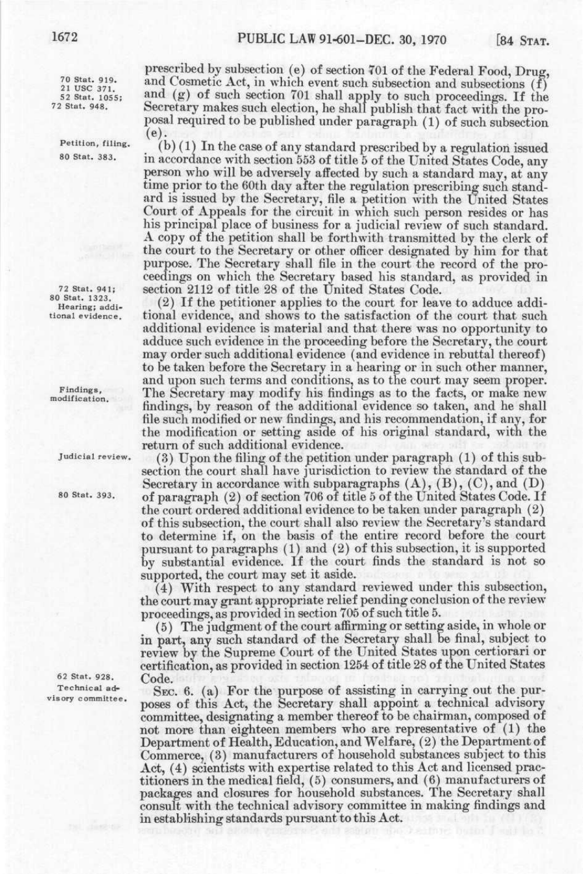**70 Stat. 919. 21 us e 371. 52 Stat. 1055; 72 Stat. 948.** 

**Petition, filing. 80 Stat. 383.** 

**72 Stat. 941; 80 Stat. 1323. Hearing; additional evidence.** 

**Findings, modification.** 

**Judicial review.** 

**80 Stat. 393.** 

**62 Stat. 928. Technical advisory committee.**  prescribed by subsection (e) of section 701 of the Federal Food, Drug, and Cosmetic Act, in which event such subsection and subsections (f) and (g) of such section 701 shall apply to such proceedings. If the Secretary makes such election, he shall publish that fact with the proposal required to be published under paragraph (1) of such subsection (e).

(b) (1) In the case of any standard prescribed by a regulation issued in accordance with section 553 of title 5 of the United States Code, any person who will be adversely affected by such a standard may, at any time prior to the 60th day after the regulation prescribing such standard is issued by the Secretary, file a petition with the United States Court of Appeals for the circuit in which such person resides or has his principal place of business for a judicial review of such standard. A copy of the petition shall be forthwith transmitted by the clerk of the court to the Secretary or other officer designated by him for that purpose. The Secretary shall file in the court the record of the proceedings on which the Secretary based his standard, as provided in section 2112 of title 28 of the United States Code.

(2) If the petitioner applies to the court for leave to adduce additional evidence, and shows to the satisfaction of the court that such additional evidence is material and that there; was no opportunity to adduce such evidence in the proceeding before the Secretary, the court may order such additional evidence (and evidence in rebuttal thereof) to be taken before the Secretary in a hearing or in such other manner, and upon such terms and conditions, as to the court may seem proper. The Secretary may modify his findings as to the facts, or make new findings, by reason of the additional evidence so taken, and he shall file such modified or new findings, and his recommendation, if any, for the modification or setting aside of his original standard, with the return of such additional evidence.

(3) Upon the filing of the petition under paragraph (1) of this subsection the court shall have jurisdiction to review the standard of the Secretary in accordance with subparagraphs  $(A)$ ,  $(B)$ ,  $(C)$ , and  $(D)$ of paragraph (2) of section 706 of title 5 of the United States Code. If the court ordered additional evidence to be taken under paragraph (2) of this subsection, the court shall also review the Secretary's standard to determine if, on the basis of the entire record before the court pursuant to paragraphs (1) and (2) of this subsection, it is supported by substantial evidence. If the court finds the standard is not so supported, the court may set it aside.

(4) With respect to any standard reviewed under this subsection, the court may grant appropriate relief pending conclusion of the review proceedings, as provided in section 705 of such title 5.

(5) The judgment of the court affirming or setting aside, in whole or in part, any such standard of the Secretary shall be final, subject to review by the Supreme Court of the United States upon certiorari or certification, as provided in section 1254 of title 28 of the United States Code.

SEC. 6. (a) For the purpose of assisting in carrying out the purposes of this Act, the Secretary shall appoint a technical advisory committee, designating a member thereof to be chairman, composed of not more than eighteen members who are representative of (1) the Department of Health, Education, and Welfare, (2) the Department of Commerce, (3) manufacturers of household substances subject to this Act, (4) scientists with expertise related to this Act and licensed practitioners in the medical field, (5) consumers, and (6) manufacturers of packages and closures for household substances. The Secretary shall consult with the technical advisory committee in making findings and in establishing standards pursuant to this Act.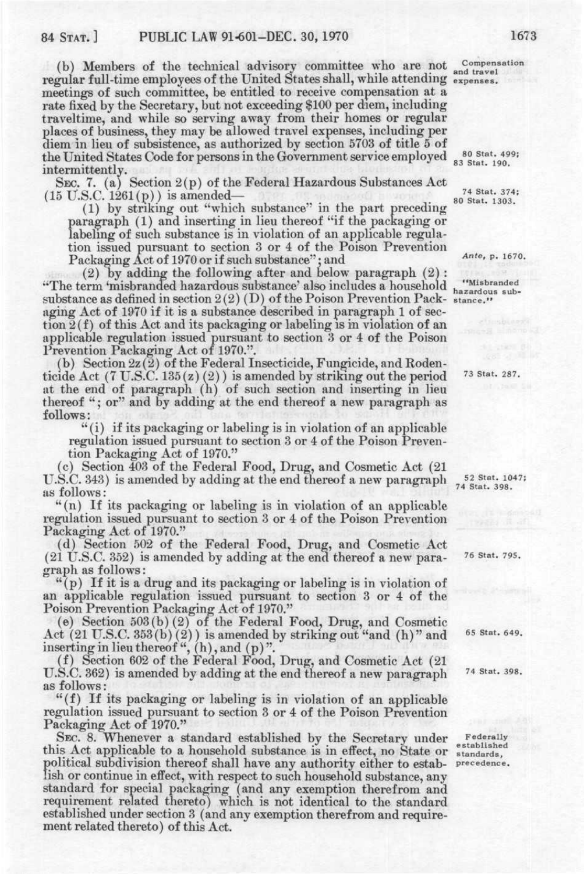(b) Members of the technical advisory committee who are not compensation regular full-time employees of the United States shall, while attending expenses. meetings of such committee, be entitled to receive compensation at a rate fixed by the Secretary, but not exceeding \$100 per diem, including traveltime, and while so serving away from their homes or regular places of business, they may be allowed travel expenses, including per diem in lieu of subsistence, as authorized by section 5703 of title 5 of the United States Code for persons in the Government service employed  $\frac{80 \text{ Stat. } 499;}{83 \text{ Stat. } 190}$ 

 $S_{FC}$   $\begin{bmatrix} 7 & 6 \end{bmatrix}$ . SEC.  $\binom{a}{b}$  Section 2(p) of the Federal Hazardous Substances Rec  $(15 \text{ U.S.C.})261(p))$  is amended—<br>(1) by striking out "which substance" in the part preceding

paragraph (1) and inserting in lieu thereof "if the packaging or labeling of such substance is in violation of an applicable regulalabelling of such substance is in violation of an applicable regula-<br>tion issued pursuant to section 3 or 4 of the Poison Prevention tion issued pursuant to section 3 or 4 of the Poison Prevention Packaging Act of 1970 or if such substance"; and<br>
(2) by adding the following after and below paragraph (2):

"The term 'misbranded hazardous substance' also includes a household The term 'misbranded hazardous substance' also includes a household hazardous subsubstance as definited in section  $2(2)(\mathbf{D})$  of the Poison Prevention Pack- stance." aging Act of 1970 if it is a substance described in paragraph 1 of section 2(f) of this Act and its packaging or labeling is in violation of an applicable regulation issued pursuant to section 3 or 4 of the Poison Prevention Packaging Act of 1970.".

(b) Section 2z (2) of the Federal Insecticide, Fungicide, and Rodenticide Act  $(7 \text{ U.S.C. } 135 \text{ (z)} \text{ (2)})$  is amended by striking out the period  $^{73 \text{ Stat. } 287}$ . at the end of paragraph (h) of such section and inserting in lieu thereof "; or" and by adding at the end thereof a new paragraph as follows:

" (i) if its packaging or labeling is in violation of an applicable regulation issued pursuant to section 3 or 4 of the Poison Prevention Packaging Act of 1970."

(c) Section 403 of the Federal Food, Drug, and Cosmetic Act (21 U.S.C. 343) is amended by adding at the end thereof a new paragraph  $_{74 \text{ Stat. }398}^{52 \text{ Stat. }1047}$ as follows:

"(n) If its packaging or labeling is in violation of an applicable regulation issued pursuant to section 3 or 4 of the Poison Prevention Packaging Act of 1970."

(d) Section 502 of the Federal Food, Drug, and Cosmetic Act  $(21 \text{ U.S.C. } 352)$  is amended by adding at the end thereof a new para- $^{\text{76 Stat. } 795}$ . graph as follows:

"(p) If it is a drug and its packaging or labeling is in violation of an applicable regulation issued pursuant to section 3 or 4 of the Poison Prevention Packaging Act of 1970."

(e) Section 503(b)(2) of the Federal Food, Drug, and Cosmetic Act  $(21 \text{ U.S.C. } 353(b)(2))$  is amended by striking out "and  $(h)$ " and  $65 \text{ Stat. } 649$ . inserting in lieu thereof ", (h), and (p)".

(f) Section 602 of the Federal Food, Drug, and Cosmetic Act (21 U.S.C. 362) is amended by adding at the end thereof a new paragraph  $^{74 \text{ Stat. } 398}$ . as follows:

"(f) If its packaging or labeling is in violation of an applicable regulation issued pursuant to section 3 or 4 of the Poison Prevention Packaging Act of 1970."

SEC. 8. Whenever a standard established by the Secretary under Federally this Act applicable to a household substance is in effect, no State or  $_{{\rm standards}}$ , political subdivision thereof shall have any authority either to estab- precedence. lish or continue in effect, with respect to such household substance, any standard for special packaging (and any exemption therefrom and requirement related thereto) which is not identical to the standard established under section 3 (and any exemption therefrom and requirement related thereto) of this Act.

74 Stat. 374; 80 Stat. 1303.

Ante, p. 1670.